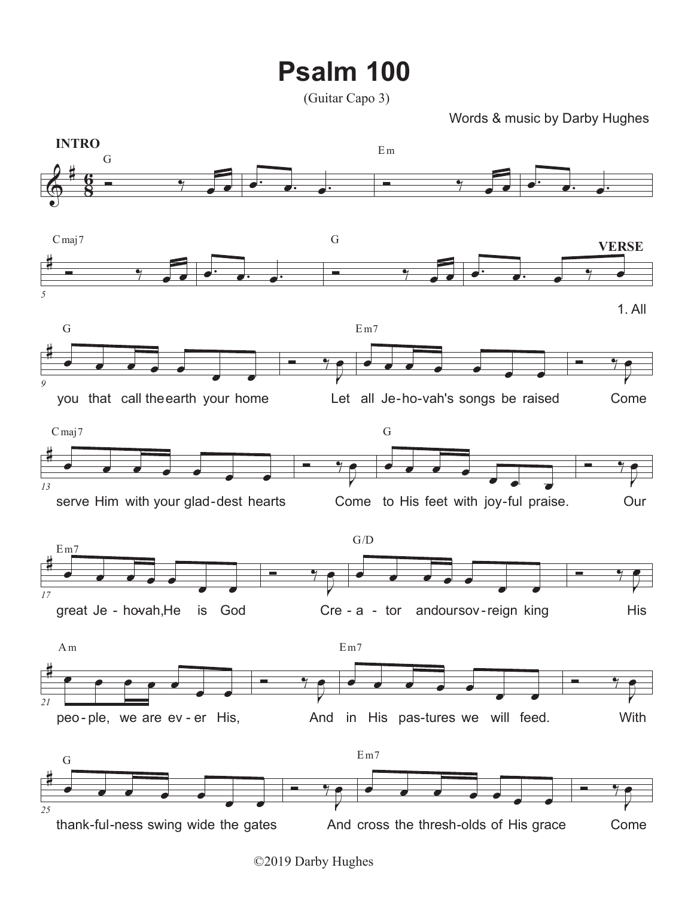## **Psalm 100**

Words & music by Darby Hughes



<sup>©2019</sup> Darby Hughes

<sup>(</sup>Guitar Capo 3)